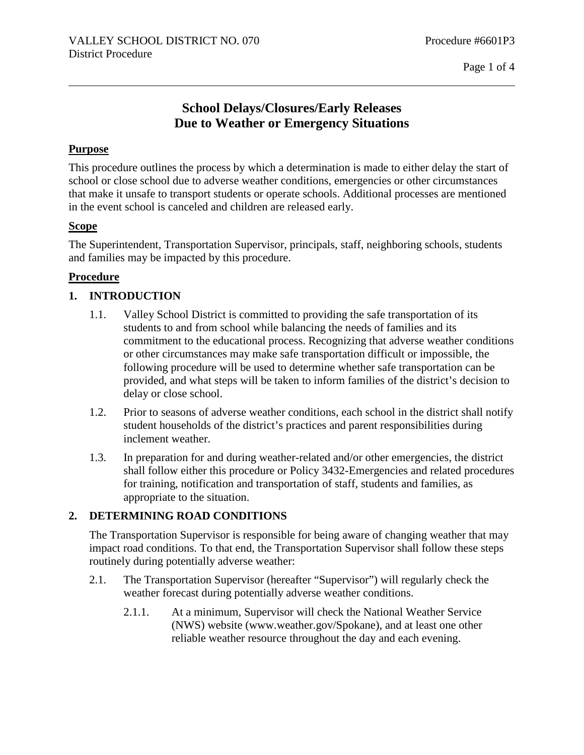## **School Delays/Closures/Early Releases Due to Weather or Emergency Situations**

#### **Purpose**

This procedure outlines the process by which a determination is made to either delay the start of school or close school due to adverse weather conditions, emergencies or other circumstances that make it unsafe to transport students or operate schools. Additional processes are mentioned in the event school is canceled and children are released early.

#### **Scope**

The Superintendent, Transportation Supervisor, principals, staff, neighboring schools, students and families may be impacted by this procedure.

#### **Procedure**

## **1. INTRODUCTION**

- 1.1. Valley School District is committed to providing the safe transportation of its students to and from school while balancing the needs of families and its commitment to the educational process. Recognizing that adverse weather conditions or other circumstances may make safe transportation difficult or impossible, the following procedure will be used to determine whether safe transportation can be provided, and what steps will be taken to inform families of the district's decision to delay or close school.
- 1.2. Prior to seasons of adverse weather conditions, each school in the district shall notify student households of the district's practices and parent responsibilities during inclement weather.
- 1.3. In preparation for and during weather-related and/or other emergencies, the district shall follow either this procedure or Policy 3432-Emergencies and related procedures for training, notification and transportation of staff, students and families, as appropriate to the situation.

## **2. DETERMINING ROAD CONDITIONS**

The Transportation Supervisor is responsible for being aware of changing weather that may impact road conditions. To that end, the Transportation Supervisor shall follow these steps routinely during potentially adverse weather:

- 2.1. The Transportation Supervisor (hereafter "Supervisor") will regularly check the weather forecast during potentially adverse weather conditions.
	- 2.1.1. At a minimum, Supervisor will check the National Weather Service (NWS) website (www.weather.gov/Spokane), and at least one other reliable weather resource throughout the day and each evening.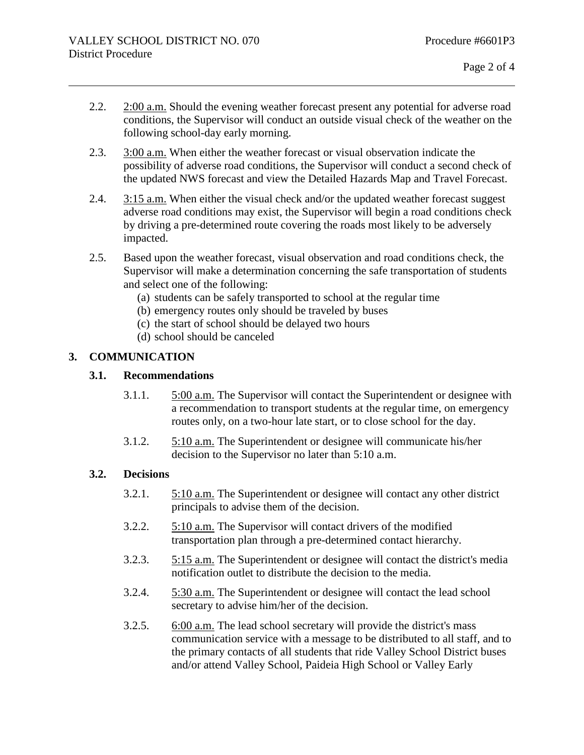- 2.2. 2:00 a.m. Should the evening weather forecast present any potential for adverse road conditions, the Supervisor will conduct an outside visual check of the weather on the following school-day early morning.
- 2.3. 3:00 a.m. When either the weather forecast or visual observation indicate the possibility of adverse road conditions, the Supervisor will conduct a second check of the updated NWS forecast and view the Detailed Hazards Map and Travel Forecast.
- 2.4. 3:15 a.m. When either the visual check and/or the updated weather forecast suggest adverse road conditions may exist, the Supervisor will begin a road conditions check by driving a pre-determined route covering the roads most likely to be adversely impacted.
- 2.5. Based upon the weather forecast, visual observation and road conditions check, the Supervisor will make a determination concerning the safe transportation of students and select one of the following:
	- (a) students can be safely transported to school at the regular time
	- (b) emergency routes only should be traveled by buses
	- (c) the start of school should be delayed two hours
	- (d) school should be canceled

## **3. COMMUNICATION**

#### **3.1. Recommendations**

- 3.1.1. 5:00 a.m. The Supervisor will contact the Superintendent or designee with a recommendation to transport students at the regular time, on emergency routes only, on a two-hour late start, or to close school for the day.
- 3.1.2. 5:10 a.m. The Superintendent or designee will communicate his/her decision to the Supervisor no later than 5:10 a.m.

## **3.2. Decisions**

- 3.2.1. 5:10 a.m. The Superintendent or designee will contact any other district principals to advise them of the decision.
- 3.2.2. 5:10 a.m. The Supervisor will contact drivers of the modified transportation plan through a pre-determined contact hierarchy.
- 3.2.3. 5:15 a.m. The Superintendent or designee will contact the district's media notification outlet to distribute the decision to the media.
- 3.2.4. 5:30 a.m. The Superintendent or designee will contact the lead school secretary to advise him/her of the decision.
- 3.2.5. 6:00 a.m. The lead school secretary will provide the district's mass communication service with a message to be distributed to all staff, and to the primary contacts of all students that ride Valley School District buses and/or attend Valley School, Paideia High School or Valley Early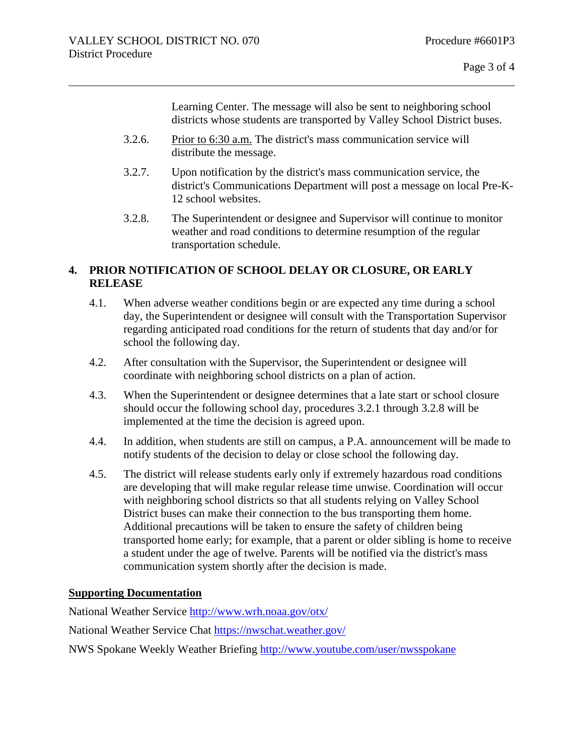Learning Center. The message will also be sent to neighboring school districts whose students are transported by Valley School District buses.

- 3.2.6. Prior to 6:30 a.m. The district's mass communication service will distribute the message.
- 3.2.7. Upon notification by the district's mass communication service, the district's Communications Department will post a message on local Pre-K-12 school websites.
- 3.2.8. The Superintendent or designee and Supervisor will continue to monitor weather and road conditions to determine resumption of the regular transportation schedule.

## **4. PRIOR NOTIFICATION OF SCHOOL DELAY OR CLOSURE, OR EARLY RELEASE**

- 4.1. When adverse weather conditions begin or are expected any time during a school day, the Superintendent or designee will consult with the Transportation Supervisor regarding anticipated road conditions for the return of students that day and/or for school the following day.
- 4.2. After consultation with the Supervisor, the Superintendent or designee will coordinate with neighboring school districts on a plan of action.
- 4.3. When the Superintendent or designee determines that a late start or school closure should occur the following school day, procedures 3.2.1 through 3.2.8 will be implemented at the time the decision is agreed upon.
- 4.4. In addition, when students are still on campus, a P.A. announcement will be made to notify students of the decision to delay or close school the following day.
- 4.5. The district will release students early only if extremely hazardous road conditions are developing that will make regular release time unwise. Coordination will occur with neighboring school districts so that all students relying on Valley School District buses can make their connection to the bus transporting them home. Additional precautions will be taken to ensure the safety of children being transported home early; for example, that a parent or older sibling is home to receive a student under the age of twelve. Parents will be notified via the district's mass communication system shortly after the decision is made.

## **Supporting Documentation**

National Weather Service<http://www.wrh.noaa.gov/otx/>

National Weather Service Chat<https://nwschat.weather.gov/>

NWS Spokane Weekly Weather Briefing<http://www.youtube.com/user/nwsspokane>